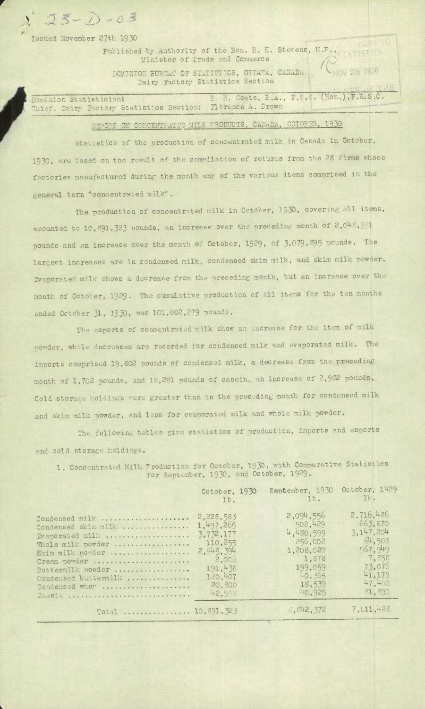DOMINION BUREAU OF STATISTICS, OTTATA, CANADA (18 1939) Dairy Factory Statistics Section Dominion Statistician: R. H. Coats, E.A., F.S.S. (Hon.), F.R.S.C. Thief, Dairy Fectory Statistics Section:

Minister of Trade and Commerce

Issued November 27th 1930

 $23 - D - 03$ 

## REPORT ON CONCENTRATED MILK FRODUCTS, CANADA, OCTOBER, 1930

published by Authority of the Hon. H. H. Stevens, M.P.,

Statistics of the production of concentrated milk in Canada in October, 1930, are based on the result of the commilation of returns from the 28 firms whose factories manufactured during the month any of the various items comprised in the general tern "concentrated milk".

The production of concentrated milk in October, 1930, covering all items, amounted to 10,891,323 pounds, an increase over the preceding month of  $2,048,951$ pounds and an increase over the month of October, 1929, of 3,079,895 oounds. The largest increases are in condensed milk, condensed skim milk, and skim milk powder. Evaporated milk shows a decrease from the oreceding month, but an increase over the month of October, 1929. The cumulative production of all items for the ten months ended October 31, 1930, was 101, 602, 279 pounds.

The exports of concentrated milk show an increase for the item of milk powder, while decreases are recorded for condensed milk and evaporated milk. The imnorts comprised 19,802 oounds of condensed milk, a decrease from the preceding month of 1,702 pounds, and 18,281 pounds of casein, an increase of 2,982 pounds. Cold storage holdings were greater than in the preceding month for condensed milk and skim milk powder, and less for evaporated milk and whole milk powder.

The following tables give statistics of production, imports and exports and cold storage holdings.

1. Concentrated Milk Production for October, 1930, with Comparative Statistics for September, 1930, and October, 1929.

|                      | October, 1930  | September, 1930 | October, 1929 |
|----------------------|----------------|-----------------|---------------|
|                      | 1 <sub>b</sub> | $1b$ .          | $1b$ .        |
| Condensed milk       | 2,228,583      | 2,094,556       | 2,716,486     |
| Condensed skim milk  | 1,497,265      | 502,429         | 663.870       |
| Evaporated milk      | 3,732,177      | 4,480,599       | 3, 147, 204   |
| Whole milk powder    | 110,255        | 256,002         | 64,508        |
| Skim milk nowder     | 2,945,394      | 1,208,020       | 967.949       |
| Cream powder         | 2,005          | 1,878           | 7.858         |
| Buttermilk nowder    | 191,438        | 199,059         | 73,076        |
| Condensed buttermilk | 120,407        | 40,365          | 41,179        |
| Condensed whey       | 20,800         | 18,539          | 47.403        |
| Casein               | 42.998         | 40,925          | 81,890        |
| Total  10,891,323    |                | 8, 842, 372     | 7.211,428     |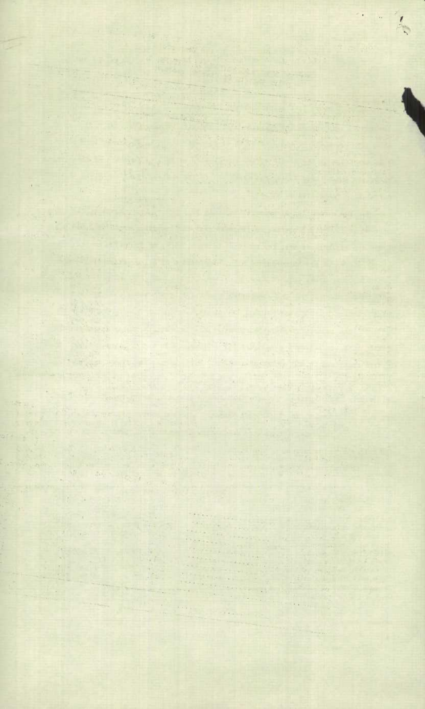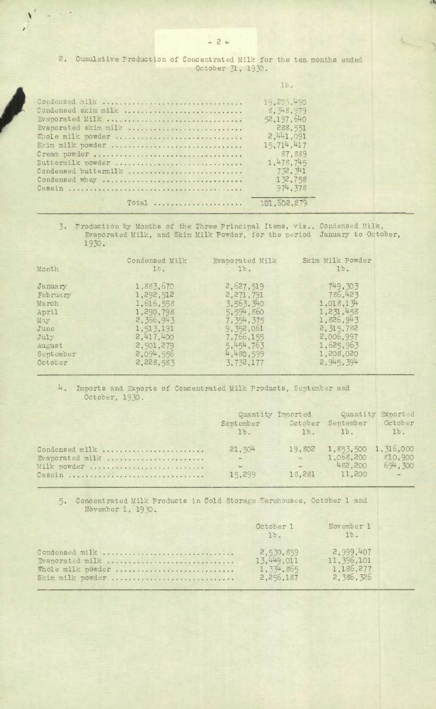lb.

## 2. Cumulative Production of Concentrated Milk for the ten months ended October 31, 1930.

| Condensed milk<br>Condensed skim milk<br>Evaporated Milk<br>Evaporated skim milk<br>Whole milk powder<br>Skim milk powder<br>Cream powder<br>Buttermilk powder<br>Condensed buttermilk<br>Condensed whey | 19,205,490<br>8. 348, 979<br>52,197,640<br>288,551<br>2,441,091<br>15,714,417<br>87.889<br>1,478,745<br>732, 341<br>132,758<br>974.378 |
|----------------------------------------------------------------------------------------------------------------------------------------------------------------------------------------------------------|----------------------------------------------------------------------------------------------------------------------------------------|
|                                                                                                                                                                                                          | 101, 502, 279                                                                                                                          |

3. Production by Months of the Three Principal Items, viz., Condensed Milk,<br>Evaporated Milk, and Skim Milk Powder, for the period January to October, 1930.

| Month     | Condensed Milk | Evaporated Milk | Skim Milk Powder |
|-----------|----------------|-----------------|------------------|
|           | $1b$ .         | $1b$ .          | $1b$ .           |
| January   | 1,883,670      | 2,627,519       | 749.303          |
| February  | 1,292,512      | 2, 271, 791     | 786,423          |
| March     | 1,616,558      | 3,563,340       | 1,018,134        |
| April     | 1,290,798      | 5,594,860       | 1,231,458        |
| May       | 2,366,943      | 7, 354, 375     | 1,826,943        |
| June      | 1,513,191      | 9, 352, 061     | 2, 315, 782      |
| July      | 2,417,400      | 7,766,155       | 2,006,997        |
| August    | 2,501,279      | 5.454.763       | 1, 625, 963      |
| September | 2,094,556      | 4,480,599       | 1,208,020        |
| October   | 2,228,583      | 3,732,177       | 2,945,394        |

4. Imports and Exports of Concentrated Milk Products, September and October, 1930.

|                                                            | September<br>1 <sub>b</sub>                  | $1b$ , $1b$                           | Quantity Imported Quantity Exported<br>October September<br>1 <sub>b</sub> | October<br>$1b$ .  |
|------------------------------------------------------------|----------------------------------------------|---------------------------------------|----------------------------------------------------------------------------|--------------------|
| Condensed milk<br>Evaporated milk<br>Milk powder<br>Casein | 21,504<br>$\overline{\phantom{0}}$<br>15,299 | 19,802<br><b>STATISTICS</b><br>18,281 | 1,853,500 1,316,000<br>1,068,200<br>482,200<br>11,200                      | 810,900<br>694,300 |

5. Concentrated Milk Products in Cold Storage Warehouses, October 1 and November 1, 1930.

|                                                                            | October 1<br>$1b$ .                                 | November 1<br>$1b$ .                              |
|----------------------------------------------------------------------------|-----------------------------------------------------|---------------------------------------------------|
| Condensed milk<br>Evaporated milk<br>Whole milk powder<br>Skim milk powder | 2,530,859<br>13,449,011<br>1, 334, 865<br>2,256,187 | 2.999.407<br>11,396,101<br>1,186,277<br>2.386,326 |

 $\omega_{\rm c}$  and